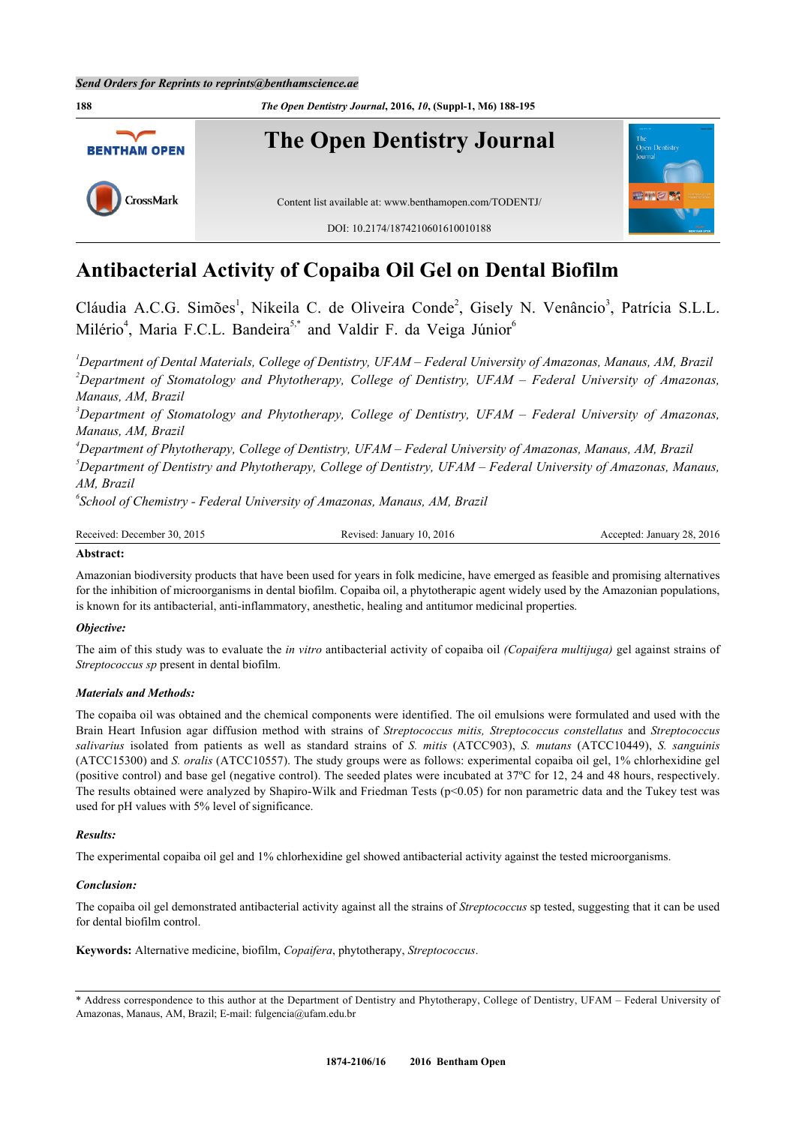

# **Antibacterial Activity of Copaiba Oil Gel on Dental Biofilm**

Cláudia A.C.G. Simões<sup>[1](#page-0-0)</sup>, Nikeila C. de Oliveira Conde<sup>[2](#page-0-1)</sup>, Gisely N. Venâncio<sup>[3](#page-0-2)</sup>, Patrícia S.L.L. Milério<sup>[4](#page-0-3)</sup>, Maria F.C.L. Bandeira<sup>[5](#page-0-4),[\\*](#page-0-5)</sup> and Valdir F. da Veiga Júnior<sup>[6](#page-0-6)</sup>

<span id="page-0-1"></span><span id="page-0-0"></span>*<sup>1</sup>Department of Dental Materials, College of Dentistry, UFAM – Federal University of Amazonas, Manaus, AM, Brazil <sup>2</sup>Department of Stomatology and Phytotherapy, College of Dentistry, UFAM – Federal University of Amazonas, Manaus, AM, Brazil*

<span id="page-0-2"></span>*<sup>3</sup>Department of Stomatology and Phytotherapy, College of Dentistry, UFAM – Federal University of Amazonas, Manaus, AM, Brazil*

<span id="page-0-4"></span><span id="page-0-3"></span>*<sup>4</sup>Department of Phytotherapy, College of Dentistry, UFAM – Federal University of Amazonas, Manaus, AM, Brazil <sup>5</sup>Department of Dentistry and Phytotherapy, College of Dentistry, UFAM – Federal University of Amazonas, Manaus, AM, Brazil*

<span id="page-0-6"></span>*6 School of Chemistry - Federal University of Amazonas, Manaus, AM, Brazil*

Received: December 30, 2015 Revised: January 10, 2016 Accepted: January 28, 2016

#### **Abstract:**

Amazonian biodiversity products that have been used for years in folk medicine, have emerged as feasible and promising alternatives for the inhibition of microorganisms in dental biofilm. Copaiba oil, a phytotherapic agent widely used by the Amazonian populations, is known for its antibacterial, anti-inflammatory, anesthetic, healing and antitumor medicinal properties.

# *Objective:*

The aim of this study was to evaluate the *in vitro* antibacterial activity of copaiba oil *(Copaifera multijuga)* gel against strains of *Streptococcus sp* present in dental biofilm.

#### *Materials and Methods:*

The copaiba oil was obtained and the chemical components were identified. The oil emulsions were formulated and used with the Brain Heart Infusion agar diffusion method with strains of *Streptococcus mitis, Streptococcus constellatus* and *Streptococcus salivarius* isolated from patients as well as standard strains of *S. mitis* (ATCC903), *S. mutans* (ATCC10449), *S. sanguinis* (ATCC15300) and *S. oralis* (ATCC10557). The study groups were as follows: experimental copaiba oil gel, 1% chlorhexidine gel (positive control) and base gel (negative control). The seeded plates were incubated at 37ºC for 12, 24 and 48 hours, respectively. The results obtained were analyzed by Shapiro-Wilk and Friedman Tests ( $p<0.05$ ) for non parametric data and the Tukey test was used for pH values with 5% level of significance.

#### *Results:*

The experimental copaiba oil gel and 1% chlorhexidine gel showed antibacterial activity against the tested microorganisms.

# *Conclusion:*

The copaiba oil gel demonstrated antibacterial activity against all the strains of *Streptococcus* sp tested, suggesting that it can be used for dental biofilm control.

**Keywords:** Alternative medicine, biofilm, *Copaifera*, phytotherapy, *Streptococcus*.

<span id="page-0-5"></span><sup>\*</sup> Address correspondence to this author at the Department of Dentistry and Phytotherapy, College of Dentistry, UFAM – Federal University of Amazonas, Manaus, AM, Brazil; E-mail: [fulgencia@ufam.edu.br](mailto:fulgencia@ufam.edu.br)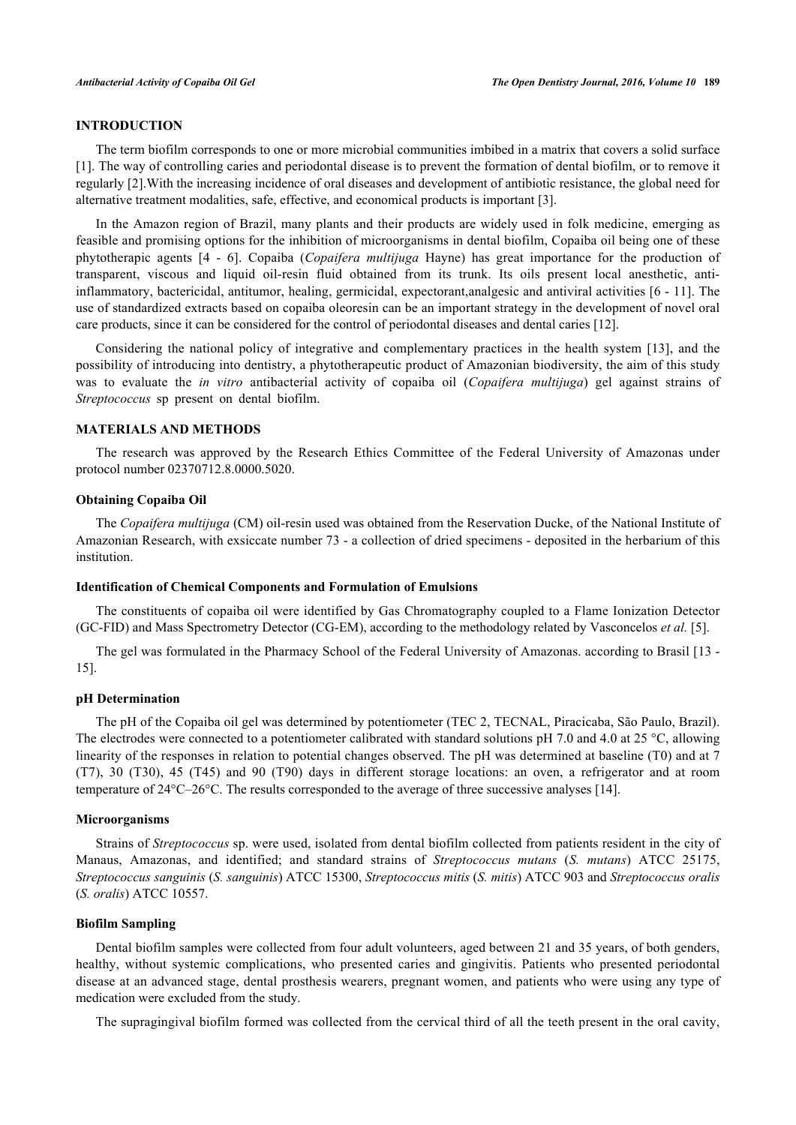# **INTRODUCTION**

The term biofilm corresponds to one or more microbial communities imbibed in a matrix that covers a solid surface [\[1](#page-6-0)]. The way of controlling caries and periodontal disease is to prevent the formation of dental biofilm, or to remove it regularly [[2\]](#page-6-1).With the increasing incidence of oral diseases and development of antibiotic resistance, the global need for alternative treatment modalities, safe, effective, and economical products is important [[3\]](#page-6-2).

In the Amazon region of Brazil, many plants and their products are widely used in folk medicine, emerging as feasible and promising options for the inhibition of microorganisms in dental biofilm, Copaiba oil being one of these phytotherapic agents[[4](#page-6-3) - [6](#page-6-4)]. Copaiba (*Copaifera multijuga* Hayne) has great importance for the production of transparent, viscous and liquid oil-resin fluid obtained from its trunk. Its oils present local anesthetic, antiinflammatory, bactericidal, antitumor, healing, germicidal, expectorant,analgesic and antiviral activities [\[6](#page-6-4) - [11\]](#page-6-5). The use of standardized extracts based on copaiba oleoresin can be an important strategy in the development of novel oral care products, since it can be considered for the control of periodontal diseases and dental caries [\[12](#page-6-6)].

Considering the national policy of integrative and complementary practices in the health system [\[13\]](#page-6-7), and the possibility of introducing into dentistry, a phytotherapeutic product of Amazonian biodiversity, the aim of this study was to evaluate the *in vitro* antibacterial activity of copaiba oil (*Copaifera multijuga*) gel against strains of *Streptococcus* sp present on dental biofilm.

# **MATERIALS AND METHODS**

The research was approved by the Research Ethics Committee of the Federal University of Amazonas under protocol number 02370712.8.0000.5020.

# **Obtaining Copaiba Oil**

The *Copaifera multijuga* (CM) oil-resin used was obtained from the Reservation Ducke, of the National Institute of Amazonian Research, with exsiccate number 73 - a collection of dried specimens - deposited in the herbarium of this institution.

#### **Identification of Chemical Components and Formulation of Emulsions**

The constituents of copaiba oil were identified by Gas Chromatography coupled to a Flame Ionization Detector (GC-FID) and Mass Spectrometry Detector (CG-EM), according to the methodology related by Vasconcelos *et al.* [\[5](#page-6-8)].

The gel was formulated in the Pharmacy School of the Federal University of Amazonas. according to Brasil [\[13](#page-6-7) - [15\]](#page-6-9).

#### **pH Determination**

The pH of the Copaiba oil gel was determined by potentiometer (TEC 2, TECNAL, Piracicaba, São Paulo, Brazil). The electrodes were connected to a potentiometer calibrated with standard solutions pH 7.0 and 4.0 at 25 °C, allowing linearity of the responses in relation to potential changes observed. The pH was determined at baseline (T0) and at 7 (T7), 30 (T30), 45 (T45) and 90 (T90) days in different storage locations: an oven, a refrigerator and at room temperature of 24°C–26°C. The results corresponded to the average of three successive analyses [\[14](#page-6-10)].

### **Microorganisms**

Strains of *Streptococcus* sp. were used, isolated from dental biofilm collected from patients resident in the city of Manaus, Amazonas, and identified; and standard strains of *Streptococcus mutans* (*S. mutans*) ATCC 25175, *Streptococcus sanguinis* (*S. sanguinis*) ATCC 15300, *Streptococcus mitis* (*S. mitis*) ATCC 903 and *Streptococcus oralis* (*S. oralis*) ATCC 10557.

#### **Biofilm Sampling**

Dental biofilm samples were collected from four adult volunteers, aged between 21 and 35 years, of both genders, healthy, without systemic complications, who presented caries and gingivitis. Patients who presented periodontal disease at an advanced stage, dental prosthesis wearers, pregnant women, and patients who were using any type of medication were excluded from the study.

The supragingival biofilm formed was collected from the cervical third of all the teeth present in the oral cavity,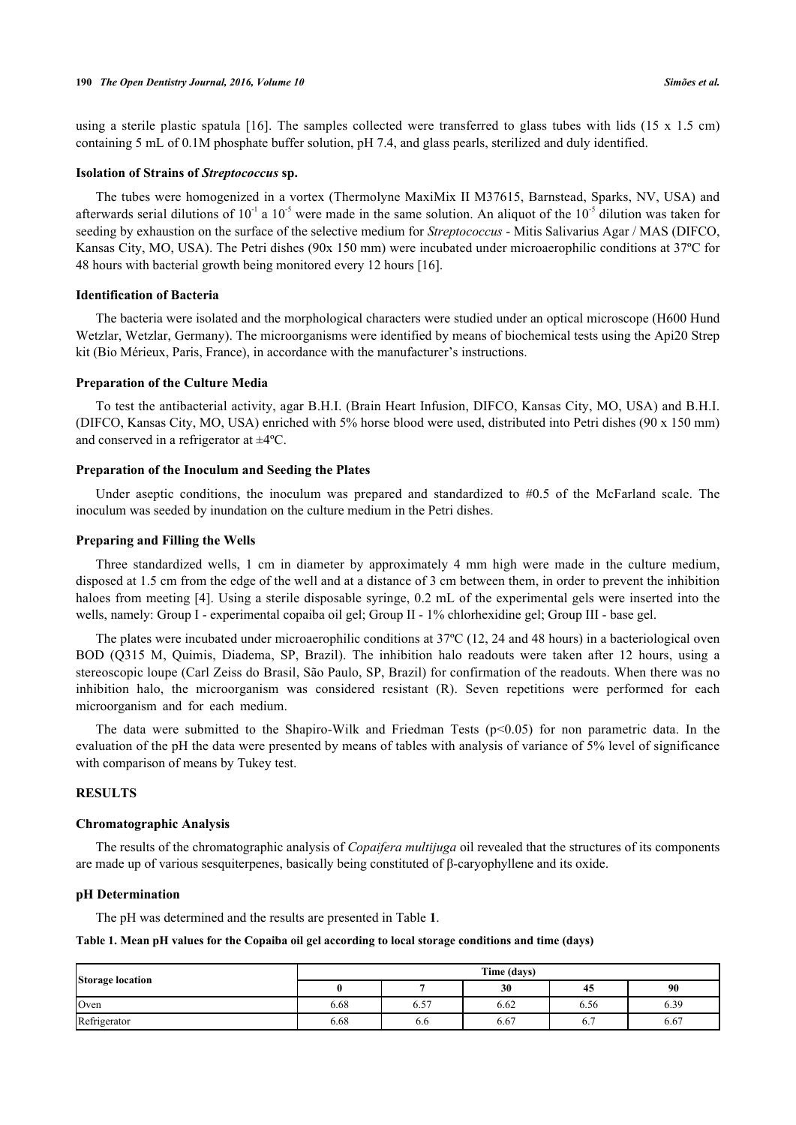using a sterile plastic spatula [\[16\]](#page-6-11). The samples collected were transferred to glass tubes with lids (15 x 1.5 cm) containing 5 mL of 0.1M phosphate buffer solution, pH 7.4, and glass pearls, sterilized and duly identified.

# **Isolation of Strains of** *Streptococcus* **sp.**

The tubes were homogenized in a vortex (Thermolyne MaxiMix II M37615, Barnstead, Sparks, NV, USA) and afterwards serial dilutions of  $10^{-1}$  a  $10^{-5}$  were made in the same solution. An aliquot of the  $10^{-5}$  dilution was taken for seeding by exhaustion on the surface of the selective medium for *Streptococcus* - Mitis Salivarius Agar / MAS (DIFCO, Kansas City, MO, USA). The Petri dishes (90x 150 mm) were incubated under microaerophilic conditions at 37ºC for 48 hours with bacterial growth being monitored every 12 hours [[16\]](#page-6-11).

#### **Identification of Bacteria**

The bacteria were isolated and the morphological characters were studied under an optical microscope (H600 Hund Wetzlar, Wetzlar, Germany). The microorganisms were identified by means of biochemical tests using the Api20 Strep kit (Bio Mérieux, Paris, France), in accordance with the manufacturer's instructions.

# **Preparation of the Culture Media**

To test the antibacterial activity, agar B.H.I. (Brain Heart Infusion, DIFCO, Kansas City, MO, USA) and B.H.I. (DIFCO, Kansas City, MO, USA) enriched with 5% horse blood were used, distributed into Petri dishes (90 x 150 mm) and conserved in a refrigerator at  $\pm 4$ <sup>o</sup>C.

#### **Preparation of the Inoculum and Seeding the Plates**

Under aseptic conditions, the inoculum was prepared and standardized to #0.5 of the McFarland scale. The inoculum was seeded by inundation on the culture medium in the Petri dishes.

#### **Preparing and Filling the Wells**

Three standardized wells, 1 cm in diameter by approximately 4 mm high were made in the culture medium, disposed at 1.5 cm from the edge of the well and at a distance of 3 cm between them, in order to prevent the inhibition haloes from meeting [[4](#page-6-3)]. Using a sterile disposable syringe, 0.2 mL of the experimental gels were inserted into the wells, namely: Group I - experimental copaiba oil gel; Group II - 1% chlorhexidine gel; Group III - base gel.

The plates were incubated under microaerophilic conditions at 37ºC (12, 24 and 48 hours) in a bacteriological oven BOD (Q315 M, Quimis, Diadema, SP, Brazil). The inhibition halo readouts were taken after 12 hours, using a stereoscopic loupe (Carl Zeiss do Brasil, São Paulo, SP, Brazil) for confirmation of the readouts. When there was no inhibition halo, the microorganism was considered resistant (R). Seven repetitions were performed for each microorganism and for each medium.

The data were submitted to the Shapiro-Wilk and Friedman Tests ( $p<0.05$ ) for non parametric data. In the evaluation of the pH the data were presented by means of tables with analysis of variance of 5% level of significance with comparison of means by Tukey test.

#### **RESULTS**

#### **Chromatographic Analysis**

The results of the chromatographic analysis of *Copaifera multijuga* oil revealed that the structures of its components are made up of various sesquiterpenes, basically being constituted of β-caryophyllene and its oxide.

#### **pH Determination**

The pH was determined and the results are presented in Table **[1](#page-2-0)**.

### <span id="page-2-0"></span>**Table 1. Mean pH values for the Copaiba oil gel according to local storage conditions and time (days)**

| <b>Storage location</b> | Time (days) |      |      |      |                |
|-------------------------|-------------|------|------|------|----------------|
|                         |             |      | 30   | 45   | 90             |
| Oven                    | 6.68        | 6.57 | 6.62 | 6.56 | 6.39           |
| Refrigerator            | 6.68        | 6.6  | 6.67 | O.,  | $\sim$<br>0.67 |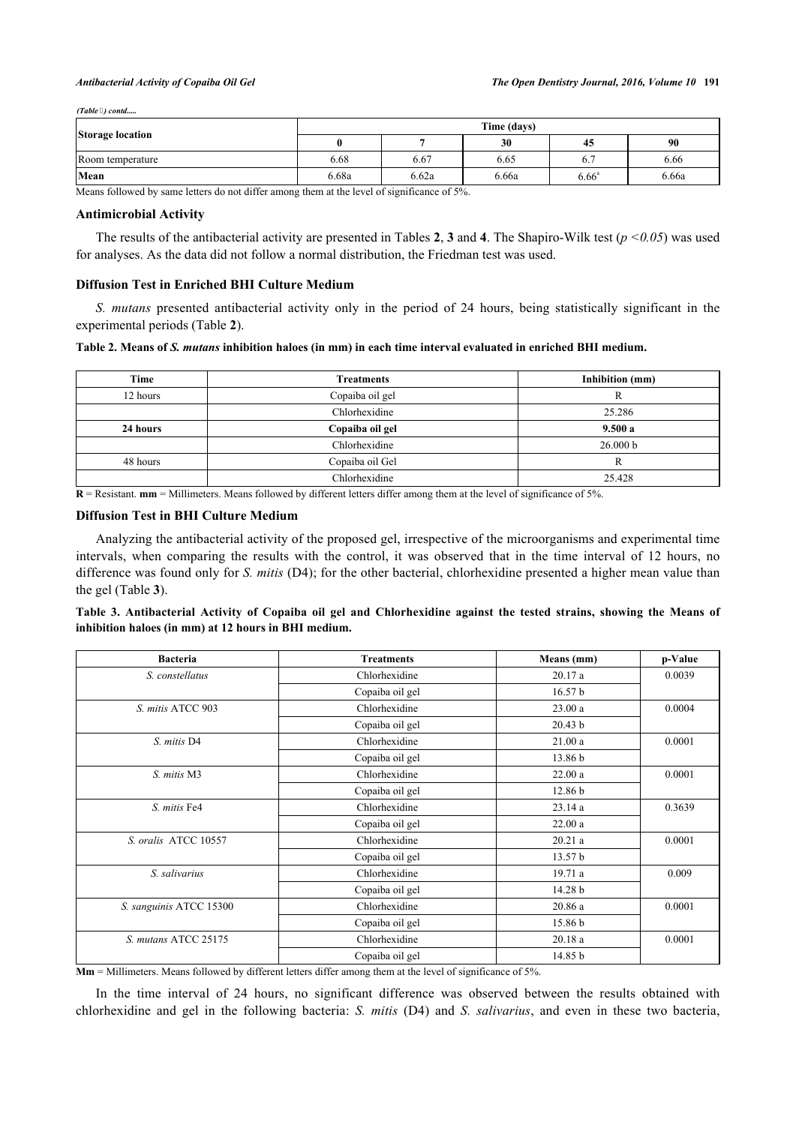*(Table ) contd.....*

| Time (days) |       |       |                |       |
|-------------|-------|-------|----------------|-------|
|             |       | 30    | 45             | 90    |
| 6.68        | 6.67  | 6.65  | 0.             | 6.66  |
| 6.68a       | 6.62a | 6.66a | $6.66^{\circ}$ | 6.66a |
|             |       | .     |                | .     |

Means followed by same letters do not differ among them at the level of significance of 5%.

# **Antimicrobial Activity**

The results of the antibacterial activity are presented in Tables [2](#page-3-0), [3](#page-3-1) and [4](#page-4-0). The Shapiro-Wilk test  $(p \le 0.05)$  was used for analyses. As the data did not follow a normal distribution, the Friedman test was used.

# **Diffusion Test in Enriched BHI Culture Medium**

*S. mutans* presented antibacterial activity only in the period of 24 hours, being statistically significant in the experimental periods (Table **[2](#page-3-0)**).

#### <span id="page-3-0"></span>**Table 2. Means of** *S. mutans* **inhibition haloes (in mm) in each time interval evaluated in enriched BHI medium.**

| Time     | <b>Treatments</b> | Inhibition (mm) |
|----------|-------------------|-----------------|
| 12 hours | Copaiba oil gel   | л               |
|          | Chlorhexidine     | 25.286          |
| 24 hours | Copaiba oil gel   | 9.500a          |
|          | Chlorhexidine     | 26,000 b        |
| 48 hours | Copaiba oil Gel   |                 |
|          | Chlorhexidine     | 25.428          |

**R** = Resistant. **mm** = Millimeters. Means followed by different letters differ among them at the level of significance of 5%.

# **Diffusion Test in BHI Culture Medium**

Analyzing the antibacterial activity of the proposed gel, irrespective of the microorganisms and experimental time intervals, when comparing the results with the control, it was observed that in the time interval of 12 hours, no difference was found only for *S. mitis* (D4); for the other bacterial, chlorhexidine presented a higher mean value than the gel (Table **[3](#page-3-1)**).

<span id="page-3-1"></span>**Table 3. Antibacterial Activity of Copaiba oil gel and Chlorhexidine against the tested strains, showing the Means of inhibition haloes (in mm) at 12 hours in BHI medium.**

| <b>Bacteria</b>         | <b>Treatments</b> | Means (mm)         | p-Value |
|-------------------------|-------------------|--------------------|---------|
| S. constellatus         | Chlorhexidine     | 20.17a             | 0.0039  |
|                         | Copaiba oil gel   | 16.57 <sub>b</sub> |         |
| S. mitis ATCC 903       | Chlorhexidine     | 23.00a             | 0.0004  |
|                         | Copaiba oil gel   | 20.43 <sub>b</sub> |         |
| S. mitis D4             | Chlorhexidine     | 21.00a             | 0.0001  |
|                         | Copaiba oil gel   | 13.86 b            |         |
| S. mitis M3             | Chlorhexidine     | 22.00a             | 0.0001  |
|                         | Copaiba oil gel   | 12.86 <sub>b</sub> |         |
| S. mitis Fe4            | Chlorhexidine     | 23.14 a            | 0.3639  |
|                         | Copaiba oil gel   | 22.00a             |         |
| S. oralis ATCC 10557    | Chlorhexidine     | 20.21 a            | 0.0001  |
|                         | Copaiba oil gel   | 13.57 <sub>b</sub> |         |
| S. salivarius           | Chlorhexidine     | 19.71 a            | 0.009   |
|                         | Copaiba oil gel   | 14.28 b            |         |
| S. sanguinis ATCC 15300 | Chlorhexidine     | 20.86 a            | 0.0001  |
|                         | Copaiba oil gel   | 15.86 <sub>b</sub> |         |
| S. mutans ATCC 25175    | Chlorhexidine     | 20.18 a            | 0.0001  |
|                         | Copaiba oil gel   | 14.85 b            |         |

**Mm** = Millimeters. Means followed by different letters differ among them at the level of significance of 5%.

In the time interval of 24 hours, no significant difference was observed between the results obtained with chlorhexidine and gel in the following bacteria: *S. mitis* (D4) and *S. salivarius*, and even in these two bacteria,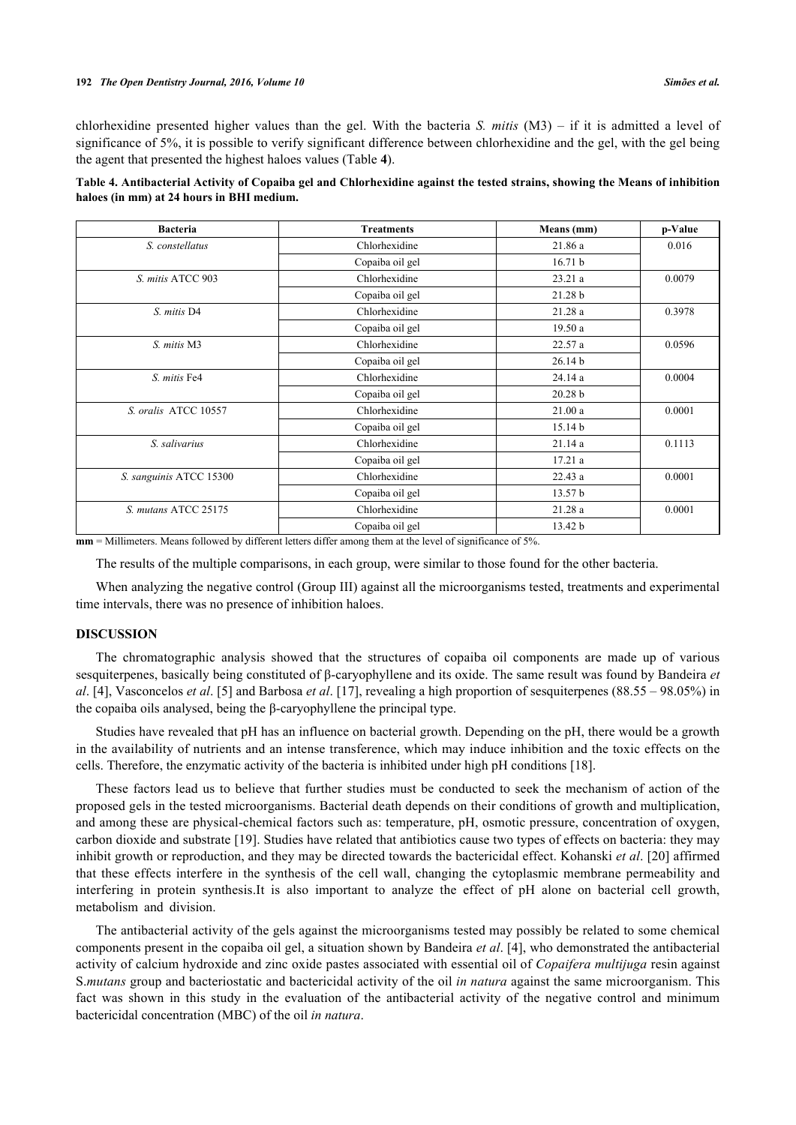chlorhexidine presented higher values than the gel. With the bacteria *S. mitis* (M3) – if it is admitted a level of significance of 5%, it is possible to verify significant difference between chlorhexidine and the gel, with the gel being the agent that presented the highest haloes values (Table **[4](#page-4-0)**).

<span id="page-4-0"></span>

| Table 4. Antibacterial Activity of Copaiba gel and Chlorhexidine against the tested strains, showing the Means of inhibition |  |
|------------------------------------------------------------------------------------------------------------------------------|--|
| haloes (in mm) at 24 hours in BHI medium.                                                                                    |  |

| <b>Bacteria</b>         | <b>Treatments</b> | Means (mm)         | p-Value |  |
|-------------------------|-------------------|--------------------|---------|--|
| S. constellatus         | Chlorhexidine     | 21.86a             | 0.016   |  |
|                         | Copaiba oil gel   | 16.71 b            |         |  |
| S. mitis ATCC 903       | Chlorhexidine     | 23.21 a            | 0.0079  |  |
|                         | Copaiba oil gel   | 21.28 b            |         |  |
| S. mitis D4             | Chlorhexidine     | 21.28 a            | 0.3978  |  |
|                         | Copaiba oil gel   | 19.50a             |         |  |
| S. mitis M3             | Chlorhexidine     | 22.57 a            | 0.0596  |  |
|                         | Copaiba oil gel   | 26.14 b            |         |  |
| S. mitis Fe4            | Chlorhexidine     | 24.14 a            | 0.0004  |  |
|                         | Copaiba oil gel   | 20.28 b            |         |  |
| S. oralis ATCC 10557    | Chlorhexidine     | 21.00a             | 0.0001  |  |
|                         | Copaiba oil gel   | 15.14 <sub>b</sub> |         |  |
| S. salivarius           | Chlorhexidine     | 21.14a             | 0.1113  |  |
|                         | Copaiba oil gel   | 17.21a             |         |  |
| S. sanguinis ATCC 15300 | Chlorhexidine     | 22.43a             | 0.0001  |  |
|                         | Copaiba oil gel   | 13.57 b            |         |  |
| S. mutans ATCC 25175    | Chlorhexidine     | 21.28a             | 0.0001  |  |
|                         | Copaiba oil gel   | 13.42 b            |         |  |

**mm** = Millimeters. Means followed by different letters differ among them at the level of significance of 5%.

The results of the multiple comparisons, in each group, were similar to those found for the other bacteria.

When analyzing the negative control (Group III) against all the microorganisms tested, treatments and experimental time intervals, there was no presence of inhibition haloes.

### **DISCUSSION**

The chromatographic analysis showed that the structures of copaiba oil components are made up of various sesquiterpenes, basically being constituted of β-caryophyllene and its oxide. The same result was found by Bandeira *et al*. [[4\]](#page-6-3), Vasconcelos *et al*. [[5\]](#page-6-8) and Barbosa *et al*. [\[17](#page-6-12)], revealing a high proportion of sesquiterpenes (88.55 – 98.05%) in the copaiba oils analysed, being the β-caryophyllene the principal type.

Studies have revealed that pH has an influence on bacterial growth. Depending on the pH, there would be a growth in the availability of nutrients and an intense transference, which may induce inhibition and the toxic effects on the cells. Therefore, the enzymatic activity of the bacteria is inhibited under high pH conditions [[18\]](#page-6-13).

These factors lead us to believe that further studies must be conducted to seek the mechanism of action of the proposed gels in the tested microorganisms. Bacterial death depends on their conditions of growth and multiplication, and among these are physical-chemical factors such as: temperature, pH, osmotic pressure, concentration of oxygen, carbon dioxide and substrate [[19\]](#page-7-0). Studies have related that antibiotics cause two types of effects on bacteria: they may inhibit growth or reproduction, and they may be directed towards the bactericidal effect. Kohanski *et al*. [[20\]](#page-7-1) affirmed that these effects interfere in the synthesis of the cell wall, changing the cytoplasmic membrane permeability and interfering in protein synthesis.It is also important to analyze the effect of pH alone on bacterial cell growth, metabolism and division.

The antibacterial activity of the gels against the microorganisms tested may possibly be related to some chemical components present in the copaiba oil gel, a situation shown by Bandeira *et al*. [[4\]](#page-6-3), who demonstrated the antibacterial activity of calcium hydroxide and zinc oxide pastes associated with essential oil of *Copaifera multijuga* resin against S.*mutans* group and bacteriostatic and bactericidal activity of the oil *in natura* against the same microorganism. This fact was shown in this study in the evaluation of the antibacterial activity of the negative control and minimum bactericidal concentration (MBC) of the oil *in natura*.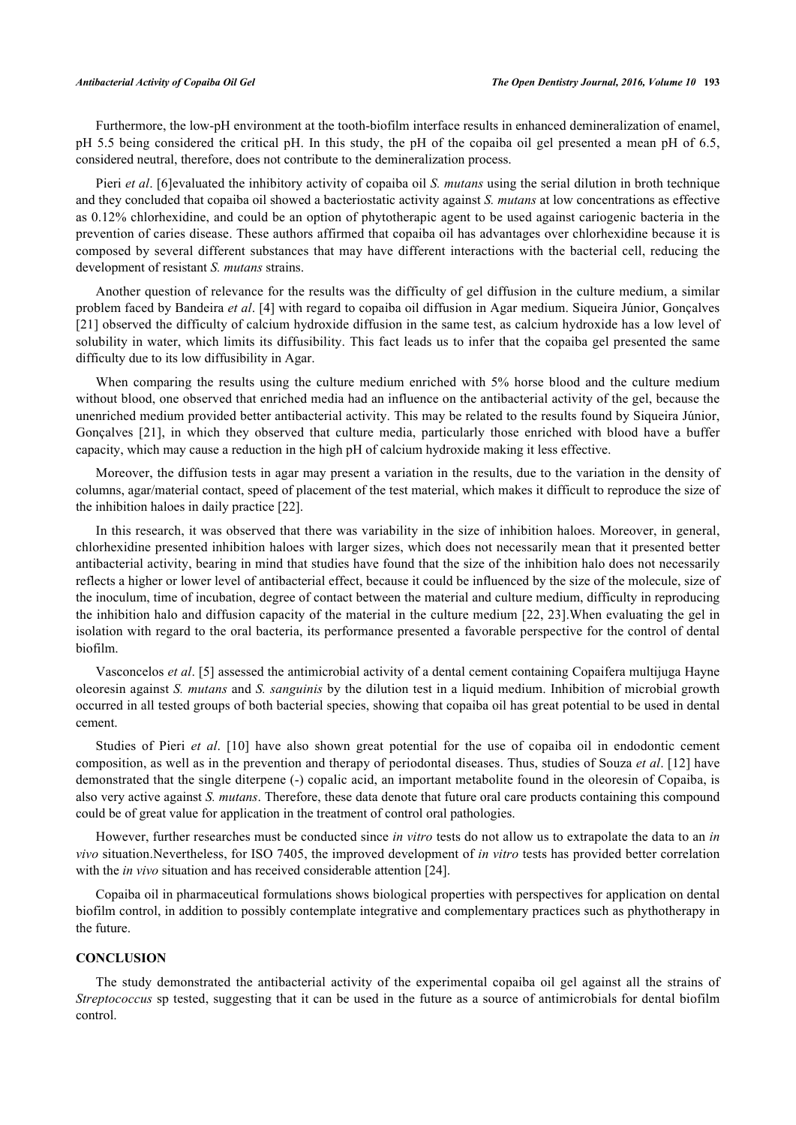Furthermore, the low-pH environment at the tooth-biofilm interface results in enhanced demineralization of enamel, pH 5.5 being considered the critical pH. In this study, the pH of the copaiba oil gel presented a mean pH of 6.5, considered neutral, therefore, does not contribute to the demineralization process.

Pieri *et al*. [[6\]](#page-6-4)evaluated the inhibitory activity of copaiba oil *S. mutans* using the serial dilution in broth technique and they concluded that copaiba oil showed a bacteriostatic activity against *S. mutans* at low concentrations as effective as 0.12% chlorhexidine, and could be an option of phytotherapic agent to be used against cariogenic bacteria in the prevention of caries disease. These authors affirmed that copaiba oil has advantages over chlorhexidine because it is composed by several different substances that may have different interactions with the bacterial cell, reducing the development of resistant *S. mutans* strains.

Another question of relevance for the results was the difficulty of gel diffusion in the culture medium, a similar problem faced by Bandeira *et al*. [\[4](#page-6-3)] with regard to copaiba oil diffusion in Agar medium. Siqueira Júnior, Gonçalves [\[21](#page-7-2)] observed the difficulty of calcium hydroxide diffusion in the same test, as calcium hydroxide has a low level of solubility in water, which limits its diffusibility. This fact leads us to infer that the copaiba gel presented the same difficulty due to its low diffusibility in Agar.

When comparing the results using the culture medium enriched with 5% horse blood and the culture medium without blood, one observed that enriched media had an influence on the antibacterial activity of the gel, because the unenriched medium provided better antibacterial activity. This may be related to the results found by Siqueira Júnior, Gonçalves [\[21\]](#page-7-2), in which they observed that culture media, particularly those enriched with blood have a buffer capacity, which may cause a reduction in the high pH of calcium hydroxide making it less effective.

Moreover, the diffusion tests in agar may present a variation in the results, due to the variation in the density of columns, agar/material contact, speed of placement of the test material, which makes it difficult to reproduce the size of the inhibition haloes in daily practice [\[22](#page-7-3)].

In this research, it was observed that there was variability in the size of inhibition haloes. Moreover, in general, chlorhexidine presented inhibition haloes with larger sizes, which does not necessarily mean that it presented better antibacterial activity, bearing in mind that studies have found that the size of the inhibition halo does not necessarily reflects a higher or lower level of antibacterial effect, because it could be influenced by the size of the molecule, size of the inoculum, time of incubation, degree of contact between the material and culture medium, difficulty in reproducing the inhibition halo and diffusion capacity of the material in the culture medium [[22](#page-7-3), [23](#page-7-4)].When evaluating the gel in isolation with regard to the oral bacteria, its performance presented a favorable perspective for the control of dental biofilm.

Vasconcelos *et al*. [[5](#page-6-8)] assessed the antimicrobial activity of a dental cement containing Copaifera multijuga Hayne oleoresin against *S. mutans* and *S. sanguinis* by the dilution test in a liquid medium. Inhibition of microbial growth occurred in all tested groups of both bacterial species, showing that copaiba oil has great potential to be used in dental cement.

Studies of Pieri *et al*.[[10](#page-6-14)] have also shown great potential for the use of copaiba oil in endodontic cement composition, as well as in the prevention and therapy of periodontal diseases. Thus, studies of Souza *et al*. [[12](#page-6-6)] have demonstrated that the single diterpene (-) copalic acid, an important metabolite found in the oleoresin of Copaiba, is also very active against *S. mutans*. Therefore, these data denote that future oral care products containing this compound could be of great value for application in the treatment of control oral pathologies.

However, further researches must be conducted since *in vitro* tests do not allow us to extrapolate the data to an *in vivo* situation.Nevertheless, for ISO 7405, the improved development of *in vitro* tests has provided better correlation with the *in vivo* situation and has received considerable attention [\[24](#page-7-5)].

Copaiba oil in pharmaceutical formulations shows biological properties with perspectives for application on dental biofilm control, in addition to possibly contemplate integrative and complementary practices such as phythotherapy in the future.

# **CONCLUSION**

The study demonstrated the antibacterial activity of the experimental copaiba oil gel against all the strains of *Streptococcus* sp tested, suggesting that it can be used in the future as a source of antimicrobials for dental biofilm control.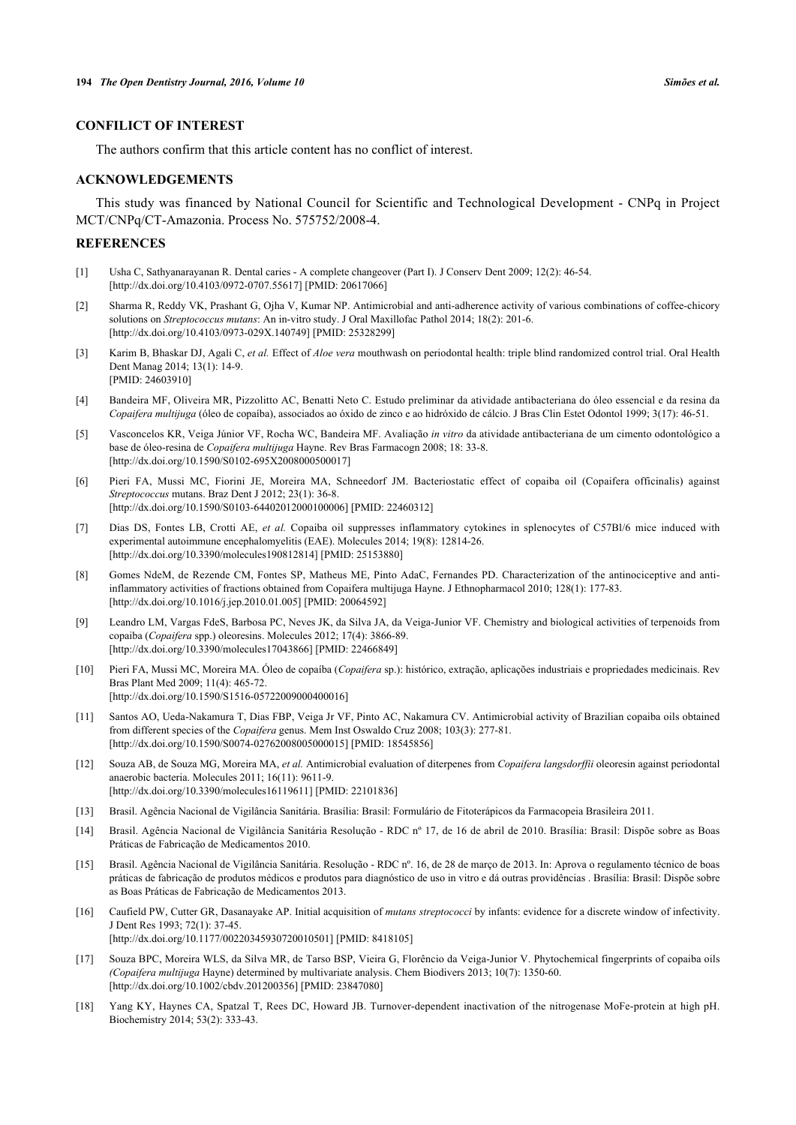# **CONFILICT OF INTEREST**

The authors confirm that this article content has no conflict of interest.

### **ACKNOWLEDGEMENTS**

This study was financed by National Council for Scientific and Technological Development - CNPq in Project MCT/CNPq/CT-Amazonia. Process No. 575752/2008-4.

# **REFERENCES**

- <span id="page-6-0"></span>[1] Usha C, Sathyanarayanan R. Dental caries - A complete changeover (Part I). J Conserv Dent 2009; 12(2): 46-54. [\[http://dx.doi.org/10.4103/0972-0707.55617](http://dx.doi.org/10.4103/0972-0707.55617)] [PMID: [20617066](http://www.ncbi.nlm.nih.gov/pubmed/20617066)]
- <span id="page-6-1"></span>[2] Sharma R, Reddy VK, Prashant G, Ojha V, Kumar NP. Antimicrobial and anti-adherence activity of various combinations of coffee-chicory solutions on *Streptococcus mutans*: An in-vitro study. J Oral Maxillofac Pathol 2014; 18(2): 201-6. [\[http://dx.doi.org/10.4103/0973-029X.140749](http://dx.doi.org/10.4103/0973-029X.140749)] [PMID: [25328299\]](http://www.ncbi.nlm.nih.gov/pubmed/25328299)
- <span id="page-6-2"></span>[3] Karim B, Bhaskar DJ, Agali C, *et al.* Effect of *Aloe vera* mouthwash on periodontal health: triple blind randomized control trial. Oral Health Dent Manag 2014; 13(1): 14-9. [PMID: [24603910\]](http://www.ncbi.nlm.nih.gov/pubmed/24603910)
- <span id="page-6-3"></span>[4] Bandeira MF, Oliveira MR, Pizzolitto AC, Benatti Neto C. Estudo preliminar da atividade antibacteriana do óleo essencial e da resina da *Copaifera multijuga* (óleo de copaíba), associados ao óxido de zinco e ao hidróxido de cálcio. J Bras Clin Estet Odontol 1999; 3(17): 46-51.
- <span id="page-6-8"></span>[5] Vasconcelos KR, Veiga Júnior VF, Rocha WC, Bandeira MF. Avaliação *in vitro* da atividade antibacteriana de um cimento odontológico a base de óleo-resina de *Copaifera multijuga* Hayne. Rev Bras Farmacogn 2008; 18: 33-8. [\[http://dx.doi.org/10.1590/S0102-695X2008000500017\]](http://dx.doi.org/10.1590/S0102-695X2008000500017)
- <span id="page-6-4"></span>[6] Pieri FA, Mussi MC, Fiorini JE, Moreira MA, Schneedorf JM. Bacteriostatic effect of copaiba oil (Copaifera officinalis) against *Streptococcus* mutans. Braz Dent J 2012; 23(1): 36-8. [\[http://dx.doi.org/10.1590/S0103-64402012000100006\]](http://dx.doi.org/10.1590/S0103-64402012000100006) [PMID: [22460312](http://www.ncbi.nlm.nih.gov/pubmed/22460312)]
- [7] Dias DS, Fontes LB, Crotti AE, *et al.* Copaiba oil suppresses inflammatory cytokines in splenocytes of C57Bl/6 mice induced with experimental autoimmune encephalomyelitis (EAE). Molecules 2014; 19(8): 12814-26. [\[http://dx.doi.org/10.3390/molecules190812814](http://dx.doi.org/10.3390/molecules190812814)] [PMID: [25153880\]](http://www.ncbi.nlm.nih.gov/pubmed/25153880)
- [8] Gomes NdeM, de Rezende CM, Fontes SP, Matheus ME, Pinto AdaC, Fernandes PD. Characterization of the antinociceptive and antiinflammatory activities of fractions obtained from Copaifera multijuga Hayne. J Ethnopharmacol 2010; 128(1): 177-83. [\[http://dx.doi.org/10.1016/j.jep.2010.01.005\]](http://dx.doi.org/10.1016/j.jep.2010.01.005) [PMID: [20064592](http://www.ncbi.nlm.nih.gov/pubmed/20064592)]
- [9] Leandro LM, Vargas FdeS, Barbosa PC, Neves JK, da Silva JA, da Veiga-Junior VF. Chemistry and biological activities of terpenoids from copaiba (*Copaifera* spp.) oleoresins. Molecules 2012; 17(4): 3866-89. [\[http://dx.doi.org/10.3390/molecules17043866](http://dx.doi.org/10.3390/molecules17043866)] [PMID: [22466849\]](http://www.ncbi.nlm.nih.gov/pubmed/22466849)
- <span id="page-6-14"></span>[10] Pieri FA, Mussi MC, Moreira MA. Óleo de copaíba (*Copaifera* sp.): histórico, extração, aplicações industriais e propriedades medicinais. Rev Bras Plant Med 2009; 11(4): 465-72. [\[http://dx.doi.org/10.1590/S1516-05722009000400016\]](http://dx.doi.org/10.1590/S1516-05722009000400016)
- <span id="page-6-5"></span>[11] Santos AO, Ueda-Nakamura T, Dias FBP, Veiga Jr VF, Pinto AC, Nakamura CV. Antimicrobial activity of Brazilian copaiba oils obtained from different species of the *Copaifera* genus. Mem Inst Oswaldo Cruz 2008; 103(3): 277-81. [\[http://dx.doi.org/10.1590/S0074-02762008005000015\]](http://dx.doi.org/10.1590/S0074-02762008005000015) [PMID: [18545856](http://www.ncbi.nlm.nih.gov/pubmed/18545856)]
- <span id="page-6-6"></span>[12] Souza AB, de Souza MG, Moreira MA, *et al.* Antimicrobial evaluation of diterpenes from *Copaifera langsdorffii* oleoresin against periodontal anaerobic bacteria. Molecules 2011; 16(11): 9611-9. [\[http://dx.doi.org/10.3390/molecules16119611](http://dx.doi.org/10.3390/molecules16119611)] [PMID: [22101836\]](http://www.ncbi.nlm.nih.gov/pubmed/22101836)
- <span id="page-6-7"></span>[13] Brasil. Agência Nacional de Vigilância Sanitária. Brasília: Brasil: Formulário de Fitoterápicos da Farmacopeia Brasileira 2011.
- <span id="page-6-10"></span>[14] Brasil. Agência Nacional de Vigilância Sanitária Resolução - RDC nº 17, de 16 de abril de 2010. Brasília: Brasil: Dispõe sobre as Boas Práticas de Fabricação de Medicamentos 2010.
- <span id="page-6-9"></span>[15] Brasil. Agência Nacional de Vigilância Sanitária. Resolução - RDC nº. 16, de 28 de março de 2013. In: Aprova o regulamento técnico de boas práticas de fabricação de produtos médicos e produtos para diagnóstico de uso in vitro e dá outras providências . Brasília: Brasil: Dispõe sobre as Boas Práticas de Fabricação de Medicamentos 2013.
- <span id="page-6-11"></span>[16] Caufield PW, Cutter GR, Dasanayake AP. Initial acquisition of *mutans streptococci* by infants: evidence for a discrete window of infectivity. J Dent Res 1993; 72(1): 37-45.
	- [\[http://dx.doi.org/10.1177/00220345930720010501\]](http://dx.doi.org/10.1177/00220345930720010501) [PMID: [8418105](http://www.ncbi.nlm.nih.gov/pubmed/8418105)]
- <span id="page-6-12"></span>[17] Souza BPC, Moreira WLS, da Silva MR, de Tarso BSP, Vieira G, Florêncio da Veiga-Junior V. Phytochemical fingerprints of copaiba oils *(Copaifera multijuga* Hayne) determined by multivariate analysis. Chem Biodivers 2013; 10(7): 1350-60. [\[http://dx.doi.org/10.1002/cbdv.201200356](http://dx.doi.org/10.1002/cbdv.201200356)] [PMID: [23847080\]](http://www.ncbi.nlm.nih.gov/pubmed/23847080)
- <span id="page-6-13"></span>[18] Yang KY, Haynes CA, Spatzal T, Rees DC, Howard JB. Turnover-dependent inactivation of the nitrogenase MoFe-protein at high pH. Biochemistry 2014; 53(2): 333-43.